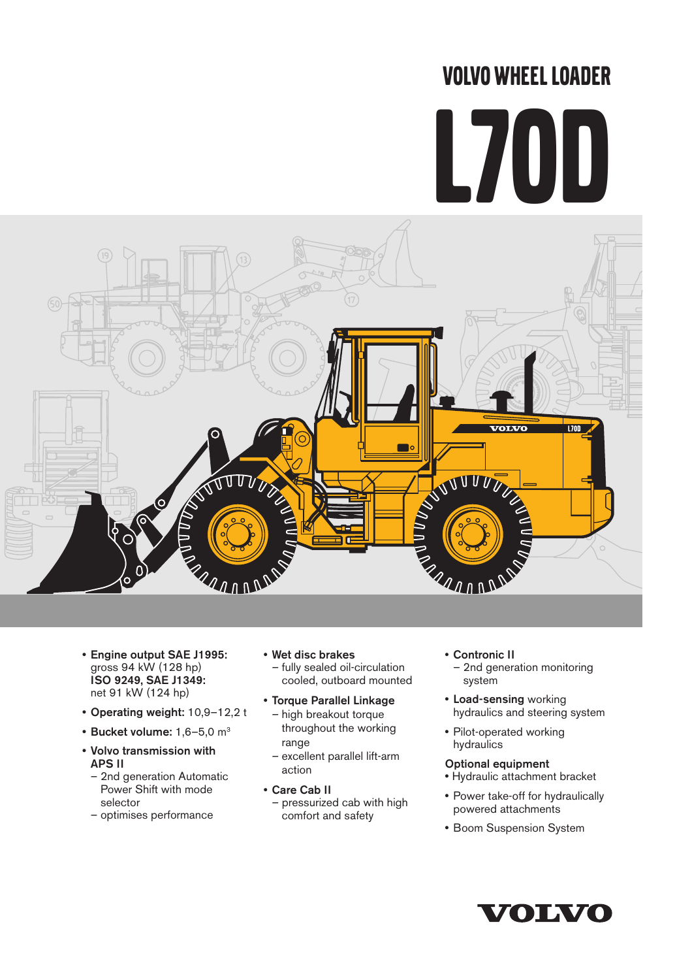# VOLVO WHEEL LOADER

# L70D



- Engine output SAE J1995: gross 94 kW (128 hp) ISO 9249, SAE J1349: net 91 kW (124 hp)
- Operating weight: 10,9–12,2 t
- Bucket volume: 1,6-5,0 m<sup>3</sup>
- Volvo transmission with APS II
	- 2nd generation Automatic Power Shift with mode selector
	- optimises performance
- Wet disc brakes – fully sealed oil-circulation cooled, outboard mounted
- Torque Parallel Linkage
	- high breakout torque throughout the working range
	- excellent parallel lift-arm action
- Care Cab II
	- pressurized cab with high comfort and safety
- Contronic II
- 2nd generation monitoring – system
- Load-sensing working hydraulics and steering system
- Pilot-operated working hydraulics

#### Optional equipment

- Hydraulic attachment bracket
- Power take-off for hydraulically powered attachments
- Boom Suspension System

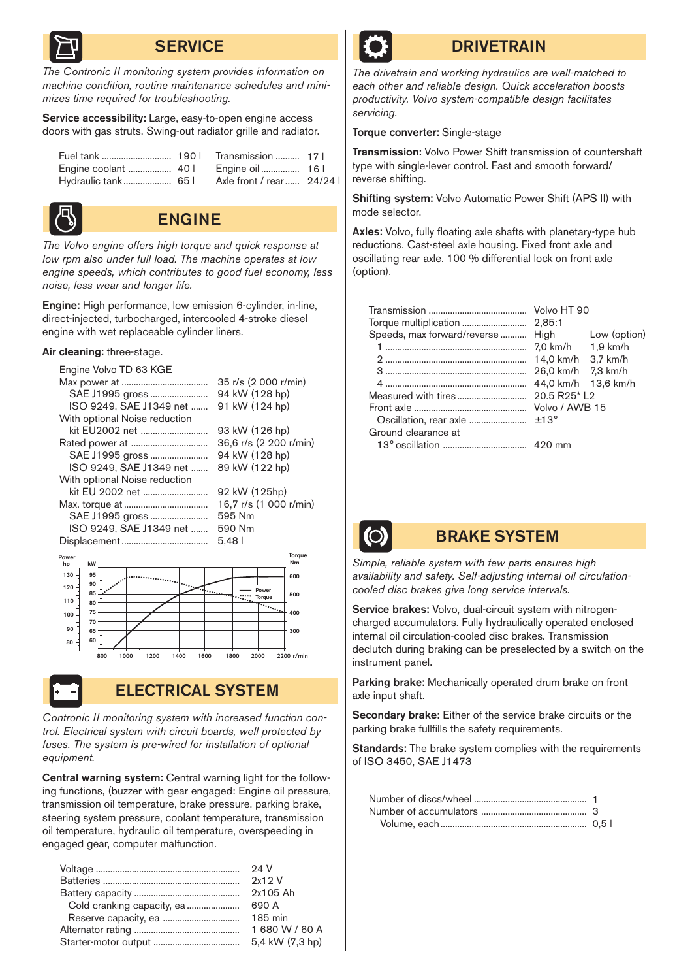

#### **SERVICE**

*The Contronic II monitoring system provides information on machine condition, routine maintenance schedules and minimizes time required for troubleshooting.*

Service accessibility: Large, easy-to-open engine access doors with gas struts. Swing-out radiator grille and radiator.



#### ENGINE

*The Volvo engine offers high torque and quick response at low rpm also under full load. The machine operates at low engine speeds, which contributes to good fuel economy, less noise, less wear and longer life.*

Engine: High performance, low emission 6-cylinder, in-line, direct-injected, turbocharged, intercooled 4-stroke diesel engine with wet replaceable cylinder liners.

Air cleaning: three-stage.







#### ELECTRICAL SYSTEM

*Contronic II monitoring system with increased function control. Electrical system with circuit boards, well protected by fuses. The system is pre-wired for installation of optional equipment.*

Central warning system: Central warning light for the following functions, (buzzer with gear engaged: Engine oil pressure, transmission oil temperature, brake pressure, parking brake, steering system pressure, coolant temperature, transmission oil temperature, hydraulic oil temperature, overspeeding in engaged gear, computer malfunction.

|                            | 24 V            |
|----------------------------|-----------------|
|                            | 2x12V           |
|                            | 2x105 Ah        |
| Cold cranking capacity, ea | 690 A           |
|                            | 185 min         |
|                            | 1680 W / 60 A   |
|                            | 5,4 kW (7,3 hp) |



#### **DRIVETRAIN**

*The drivetrain and working hydraulics are well-matched to each other and reliable design. Quick acceleration boosts productivity. Volvo system-compatible design facilitates servicing.*

Torque converter: Single-stage

Transmission: Volvo Power Shift transmission of countershaft type with single-lever control. Fast and smooth forward/ reverse shifting.

Shifting system: Volvo Automatic Power Shift (APS II) with mode selector.

Axles: Volvo, fully floating axle shafts with planetary-type hub reductions. Cast-steel axle housing. Fixed front axle and oscillating rear axle. 100 % differential lock on front axle (option).

|                             | Volvo HT 90         |              |  |
|-----------------------------|---------------------|--------------|--|
|                             |                     |              |  |
| Speeds, max forward/reverse | High                | Low (option) |  |
|                             | 7.0 km/h 1.9 km/h   |              |  |
|                             | 14,0 km/h           | 3,7 km/h     |  |
|                             | 26,0 km/h 7,3 km/h  |              |  |
|                             | 44,0 km/h 13,6 km/h |              |  |
|                             | $20.5 R25*12$       |              |  |
|                             | Volvo / AWB 15      |              |  |
|                             |                     |              |  |
| Ground clearance at         |                     |              |  |
|                             |                     |              |  |



#### BRAKE SYSTEM

*Simple, reliable system with few parts ensures high availability and safety. Self-adjusting internal oil circulationcooled disc brakes give long service intervals.*

Service brakes: Volvo, dual-circuit system with nitrogencharged accumulators. Fully hydraulically operated enclosed internal oil circulation-cooled disc brakes. Transmission declutch during braking can be preselected by a switch on the instrument panel.

Parking brake: Mechanically operated drum brake on front axle input shaft.

Secondary brake: Either of the service brake circuits or the parking brake fullfills the safety requirements.

Standards: The brake system complies with the requirements of ISO 3450, SAE J1473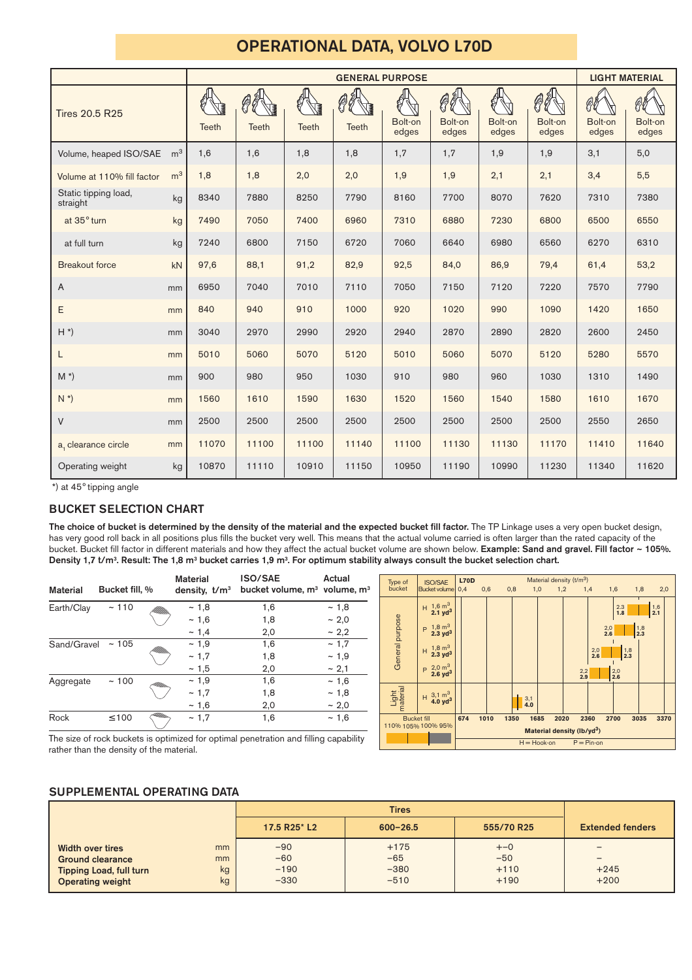#### OPERATIONAL DATA, VOLVO L70D

|                                  |                |              | <b>GENERAL PURPOSE</b> |              |              |                  |                  |                  |                  |                  | <b>LIGHT MATERIAL</b> |  |  |
|----------------------------------|----------------|--------------|------------------------|--------------|--------------|------------------|------------------|------------------|------------------|------------------|-----------------------|--|--|
| <b>Tires 20.5 R25</b>            |                | <b>Teeth</b> | <b>Teeth</b>           | <b>Teeth</b> | <b>Teeth</b> | Bolt-on<br>edges | Bolt-on<br>edges | Bolt-on<br>edges | Bolt-on<br>edges | Bolt-on<br>edges | Bolt-on<br>edges      |  |  |
| Volume, heaped ISO/SAE           | m <sup>3</sup> | 1,6          | 1,6                    | 1,8          | 1,8          | 1,7              | 1,7              | 1,9              | 1,9              | 3,1              | 5,0                   |  |  |
| Volume at 110% fill factor       | m <sup>3</sup> | 1,8          | 1,8                    | 2,0          | 2,0          | 1,9              | 1,9              | 2,1              | 2,1              | 3,4              | 5,5                   |  |  |
| Static tipping load,<br>straight | kg             | 8340         | 7880                   | 8250         | 7790         | 8160             | 7700             | 8070             | 7620             | 7310             | 7380                  |  |  |
| at 35° turn                      | kg             | 7490         | 7050                   | 7400         | 6960         | 7310             | 6880             | 7230             | 6800             | 6500             | 6550                  |  |  |
| at full turn                     | kg             | 7240         | 6800                   | 7150         | 6720         | 7060             | 6640             | 6980             | 6560             | 6270             | 6310                  |  |  |
| <b>Breakout force</b>            | kN             | 97,6         | 88,1                   | 91,2         | 82,9         | 92,5             | 84,0             | 86,9             | 79,4             | 61,4             | 53,2                  |  |  |
| Α                                | mm             | 6950         | 7040                   | 7010         | 7110         | 7050             | 7150             | 7120             | 7220             | 7570             | 7790                  |  |  |
| Ε                                | mm             | 840          | 940                    | 910          | 1000         | 920              | 1020             | 990              | 1090             | 1420             | 1650                  |  |  |
| $H^*$                            | mm             | 3040         | 2970                   | 2990         | 2920         | 2940             | 2870             | 2890             | 2820             | 2600             | 2450                  |  |  |
| L                                | mm             | 5010         | 5060                   | 5070         | 5120         | 5010             | 5060             | 5070             | 5120             | 5280             | 5570                  |  |  |
| $M^*$                            | mm             | 900          | 980                    | 950          | 1030         | 910              | 980              | 960              | 1030             | 1310             | 1490                  |  |  |
| $N^*$                            | mm             | 1560         | 1610                   | 1590         | 1630         | 1520             | 1560             | 1540             | 1580             | 1610             | 1670                  |  |  |
| V                                | mm             | 2500         | 2500                   | 2500         | 2500         | 2500             | 2500             | 2500             | 2500             | 2550             | 2650                  |  |  |
| a, clearance circle              | mm             | 11070        | 11100                  | 11100        | 11140        | 11100            | 11130            | 11130            | 11170            | 11410            | 11640                 |  |  |
| Operating weight                 | kg             | 10870        | 11110                  | 10910        | 11150        | 10950            | 11190            | 10990            | 11230            | 11340            | 11620                 |  |  |

\*) at 45° tipping angle

#### BUCKET SELECTION CHART

The choice of bucket is determined by the density of the material and the expected bucket fill factor. The TP Linkage uses a very open bucket design, has very good roll back in all positions plus fills the bucket very well. This means that the actual volume carried is often larger than the rated capacity of the bucket. Bucket fill factor in different materials and how they affect the actual bucket volume are shown below. Example: Sand and gravel. Fill factor ~ 105%. Density 1,7 t/m<sup>3</sup>. Result: The 1,8 m<sup>3</sup> bucket carries 1,9 m<sup>3</sup>. For optimum stability always consult the bucket selection chart.

| <b>Material</b> | Bucket fill, % |     | <b>Material</b><br>density, $t/m3$ | <b>ISO/SAE</b><br>bucket volume, $m^3$ volume, $m^3$ | Actual               | Type of<br>bucket | <b>ISO/SAE</b><br>Bucket volume 0.4                                                             | <b>L70D</b> | 0,6  | 0,8  |                   | Material density (t/m <sup>3</sup> )<br>1,0 | 1,2  | 1,4                                                | 1,6               |                   | 1,8          | 2,0                             |  |
|-----------------|----------------|-----|------------------------------------|------------------------------------------------------|----------------------|-------------------|-------------------------------------------------------------------------------------------------|-------------|------|------|-------------------|---------------------------------------------|------|----------------------------------------------------|-------------------|-------------------|--------------|---------------------------------|--|
| Earth/Clay      | ~110           |     | ~1,8<br>~1,6<br>~1.4               | 1,6<br>1,8<br>2,0                                    | ~1,8<br>~2,0<br>~2,2 | purpose           | $H^{1,6}$ m <sup>3</sup><br>$2.1$ yd <sup>3</sup><br>p 1,8 m <sup>3</sup><br>$2.3 \text{ yd}^3$ |             |      |      |                   |                                             |      |                                                    | $^{2,0}_{2.6}$    | $\frac{2.3}{1.8}$ | $1,8$<br>2.3 | $\Big  \ \substack{1,6 \\ 2.1}$ |  |
| Sand/Gravel     | ~105           | 40a | ~1,9<br>~1,7<br>~1.5               | 1,6<br>1,8<br>2,0                                    | ~1,7<br>~1,9<br>~2,1 | General           | $H = \frac{1,8}{2.3} \frac{m^3}{yd^3}$<br>$p = 2,0$ m <sup>3</sup><br>2.6 yd <sup>3</sup>       |             |      |      |                   |                                             |      | $^{2,0}_{2.6}$<br>$^{2,2}_{2.9}$                   | $\frac{2,0}{2.6}$ | $\frac{1,8}{2.3}$ |              |                                 |  |
| Aggregate       | ~100           |     | ~1,9<br>~1,7<br>~1,6               | 1,6<br>1,8<br>2,0                                    | ~1,6<br>~1,8<br>~2,0 | Light<br>material | $H = \frac{3,1}{4.0} \frac{m^3}{yd^3}$                                                          |             |      |      | $\frac{3,1}{4.0}$ |                                             |      |                                                    |                   |                   |              |                                 |  |
| Rock            | $\leq 100$     |     | ~1.7                               | 1,6                                                  | ~1,6                 |                   | <b>Bucket fill</b><br>110% 105% 100% 95%<br>___                                                 | 674         | 1010 | 1350 |                   | 1685                                        | 2020 | 2360<br>Material density ( $lb$ /yd <sup>3</sup> ) | 2700              |                   | 3035         | 3370                            |  |

The size of rock buckets is optimized for optimal penetration and filling capability rather than the density of the material.

# т.  $H = Hook-on$   $P = Pin-on$

#### SUPPLEMENTAL OPERATING DATA

|                                                                |                  | <b>Tires</b>     |                  |                                   |  |  |  |  |
|----------------------------------------------------------------|------------------|------------------|------------------|-----------------------------------|--|--|--|--|
|                                                                | 17.5 R25* L2     | $600 - 26.5$     | 555/70 R25       | <b>Extended fenders</b>           |  |  |  |  |
| <b>Width over tires</b><br>mm<br>mm<br><b>Ground clearance</b> | $-90$<br>$-60$   | $+175$<br>$-65$  | $+-0$<br>$-50$   | -<br>$\qquad \qquad \blacksquare$ |  |  |  |  |
| kg<br>Tipping Load, full turn<br><b>Operating weight</b><br>kg | $-190$<br>$-330$ | $-380$<br>$-510$ | $+110$<br>$+190$ | $+245$<br>$+200$                  |  |  |  |  |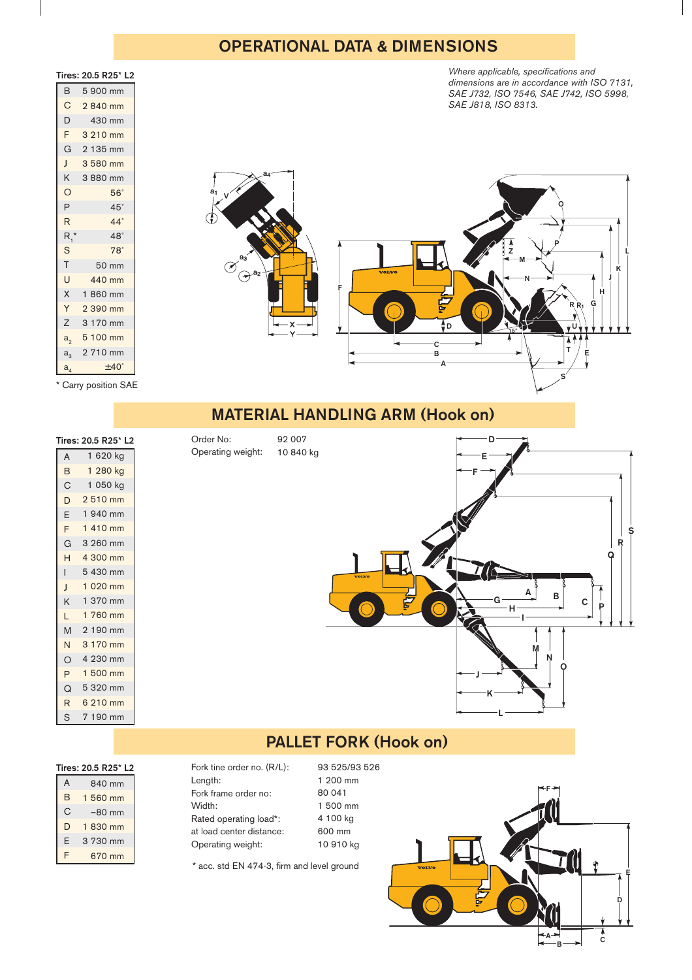#### OPERATIONAL DATA & DIMENSIONS

#### Tires: 20.5 R25\* L2

| в               | 5 900 mm               |
|-----------------|------------------------|
| C               | 2 840 mm               |
| D               | 430 mm                 |
| F.              | 3 210 mm               |
| G               | 2 135 mm               |
| J               | 3 580 mm               |
| K.              | 3 880 mm               |
| O               | $56^\circ$             |
| P               | $45^\circ$             |
| R               | $44^\circ$             |
| $R_i^{\;\star}$ | $48^\circ$             |
| S               | $78^\circ$             |
| T               | 50 mm                  |
| Ù               | 440 mm                 |
| X               | 860 mm<br>$\mathbf{1}$ |
| Υ               | 2 390 mm               |
| Ζ               | 3 170 mm               |
| a <sub>2</sub>  | 5 100 mm               |
| $a_{3}$         | 2 710 mm               |
| $a_{4}$         | $±40^\circ$            |

\* Carry position SAE

*Where applicable, specifications and dimensions are in accordance with ISO 7131, SAE J732, ISO 7546, SAE J742, ISO 5998, SAE J818, ISO 8313.*



#### MATERIAL HANDLING ARM (Hook on)

#### A B C D E F G H I J K L M N O P Q R S 1 620 kg 1 280 kg 1 050 kg 2 510 mm 1 940 mm 1 410 mm 3 260 mm 4 300 mm 5 430 mm 1 020 mm 1 370 mm 1 760 mm 2 190 mm 3 170 mm 4 230 mm 1 500 mm 5 320 mm 6 210 mm 7 190 mm Tires: 20.5 R25\* L2



### PALLET FORK (Hook on)

#### Tires: 20.5 R25\* L2

| A | 840 mm   |
|---|----------|
| B | 1 560 mm |
| C | $-80$ mm |
| D | 1830 mm  |
| F | 3 730 mm |
| F | 670 mm   |

| Fork tine order no. (R/L): |
|----------------------------|
| Length:                    |
| Fork frame order no:       |
| Width:                     |
| Rated operating load*:     |
| at load center distance:   |
| Operating weight:          |

Order No: Operating weight:

\* acc. std EN 474-3, firm and level ground

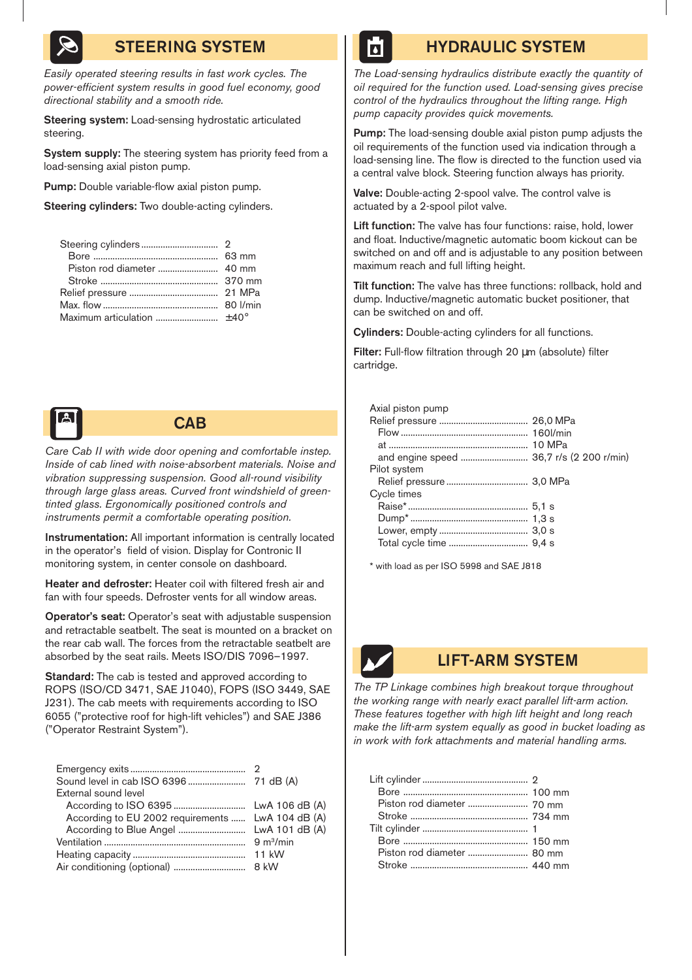#### STEERING SYSTEM

*Easily operated steering results in fast work cycles. The power-efficient system results in good fuel economy, good directional stability and a smooth ride.*

Steering system: Load-sensing hydrostatic articulated steering.

System supply: The steering system has priority feed from a load-sensing axial piston pump.

Pump: Double variable-flow axial piston pump.

Steering cylinders: Two double-acting cylinders.

#### **CAB**

*Care Cab II with wide door opening and comfortable instep. Inside of cab lined with noise-absorbent materials. Noise and vibration suppressing suspension. Good all-round visibility through large glass areas. Curved front windshield of greentinted glass. Ergonomically positioned controls and instruments permit a comfortable operating position.*

Instrumentation: All important information is centrally located in the operator's field of vision. Display for Contronic II monitoring system, in center console on dashboard.

Heater and defroster: Heater coil with filtered fresh air and fan with four speeds. Defroster vents for all window areas.

Operator's seat: Operator's seat with adjustable suspension and retractable seatbelt. The seat is mounted on a bracket on the rear cab wall. The forces from the retractable seatbelt are absorbed by the seat rails. Meets ISO/DIS 7096–1997.

Standard: The cab is tested and approved according to ROPS (ISO/CD 3471, SAE J1040), FOPS (ISO 3449, SAE J231). The cab meets with requirements according to ISO 6055 ("protective roof for high-lift vehicles") and SAE J386 ("Operator Restraint System").

| External sound level                              |  |
|---------------------------------------------------|--|
|                                                   |  |
| According to EU 2002 requirements  LwA 104 dB (A) |  |
|                                                   |  |
|                                                   |  |
|                                                   |  |
|                                                   |  |

## HYDRAULIC SYSTEM

*The Load-sensing hydraulics distribute exactly the quantity of oil required for the function used. Load-sensing gives precise control of the hydraulics throughout the lifting range. High pump capacity provides quick movements.*

Pump: The load-sensing double axial piston pump adjusts the oil requirements of the function used via indication through a load-sensing line. The flow is directed to the function used via a central valve block. Steering function always has priority.

Valve: Double-acting 2-spool valve. The control valve is actuated by a 2-spool pilot valve.

Lift function: The valve has four functions: raise, hold, lower and float. Inductive/magnetic automatic boom kickout can be switched on and off and is adjustable to any position between maximum reach and full lifting height.

Tilt function: The valve has three functions: rollback, hold and dump. Inductive/magnetic automatic bucket positioner, that can be switched on and off.

Cylinders: Double-acting cylinders for all functions.

Filter: Full-flow filtration through 20 µm (absolute) filter cartridge.

| and engine speed  36,7 r/s (2 200 r/min) |
|------------------------------------------|
|                                          |
|                                          |
|                                          |
|                                          |
|                                          |
|                                          |
|                                          |
|                                          |

\* with load as per ISO 5998 and SAE J818



#### LIFT-ARM SYSTEM

*The TP Linkage combines high breakout torque throughout the working range with nearly exact parallel lift-arm action. These features together with high lift height and long reach make the lift-arm system equally as good in bucket loading as in work with fork attachments and material handling arms.*